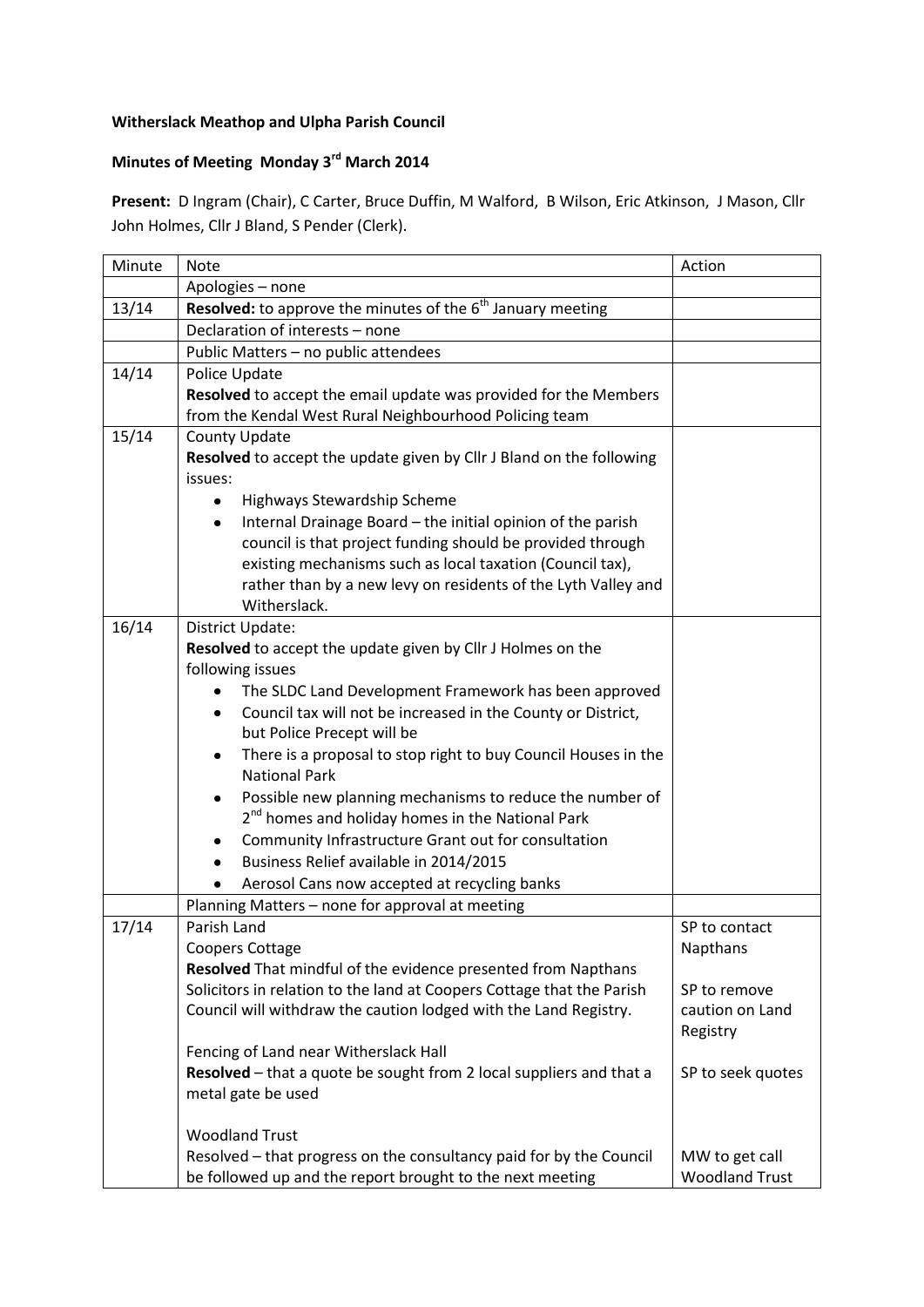## **Witherslack Meathop and Ulpha Parish Council**

## **Minutes of Meeting Monday 3rd March 2014**

**Present:** D Ingram (Chair), C Carter, Bruce Duffin, M Walford, B Wilson, Eric Atkinson, J Mason, Cllr John Holmes, Cllr J Bland, S Pender (Clerk).

| Minute | <b>Note</b>                                                                                             | Action                |
|--------|---------------------------------------------------------------------------------------------------------|-----------------------|
|        | Apologies - none                                                                                        |                       |
| 13/14  | Resolved: to approve the minutes of the 6 <sup>th</sup> January meeting                                 |                       |
|        | Declaration of interests - none                                                                         |                       |
|        | Public Matters - no public attendees                                                                    |                       |
| 14/14  | Police Update                                                                                           |                       |
|        | Resolved to accept the email update was provided for the Members                                        |                       |
|        | from the Kendal West Rural Neighbourhood Policing team                                                  |                       |
| 15/14  | County Update                                                                                           |                       |
|        | Resolved to accept the update given by Cllr J Bland on the following                                    |                       |
|        | issues:                                                                                                 |                       |
|        | Highways Stewardship Scheme                                                                             |                       |
|        | Internal Drainage Board - the initial opinion of the parish<br>٠                                        |                       |
|        | council is that project funding should be provided through                                              |                       |
|        | existing mechanisms such as local taxation (Council tax),                                               |                       |
|        | rather than by a new levy on residents of the Lyth Valley and                                           |                       |
|        | Witherslack.                                                                                            |                       |
| 16/14  | District Update:                                                                                        |                       |
|        | Resolved to accept the update given by Cllr J Holmes on the                                             |                       |
|        | following issues                                                                                        |                       |
|        | The SLDC Land Development Framework has been approved                                                   |                       |
|        | Council tax will not be increased in the County or District,<br>$\bullet$<br>but Police Precept will be |                       |
|        | There is a proposal to stop right to buy Council Houses in the<br>٠                                     |                       |
|        | <b>National Park</b>                                                                                    |                       |
|        | Possible new planning mechanisms to reduce the number of<br>٠                                           |                       |
|        | 2 <sup>nd</sup> homes and holiday homes in the National Park                                            |                       |
|        | Community Infrastructure Grant out for consultation<br>٠                                                |                       |
|        | Business Relief available in 2014/2015<br>٠                                                             |                       |
|        | Aerosol Cans now accepted at recycling banks                                                            |                       |
|        | Planning Matters - none for approval at meeting                                                         |                       |
| 17/14  | Parish Land                                                                                             | SP to contact         |
|        | <b>Coopers Cottage</b>                                                                                  | Napthans              |
|        | Resolved That mindful of the evidence presented from Napthans                                           |                       |
|        | Solicitors in relation to the land at Coopers Cottage that the Parish                                   | SP to remove          |
|        | Council will withdraw the caution lodged with the Land Registry.                                        | caution on Land       |
|        |                                                                                                         | Registry              |
|        | Fencing of Land near Witherslack Hall                                                                   |                       |
|        | Resolved - that a quote be sought from 2 local suppliers and that a                                     | SP to seek quotes     |
|        | metal gate be used                                                                                      |                       |
|        | <b>Woodland Trust</b>                                                                                   |                       |
|        | Resolved - that progress on the consultancy paid for by the Council                                     | MW to get call        |
|        | be followed up and the report brought to the next meeting                                               | <b>Woodland Trust</b> |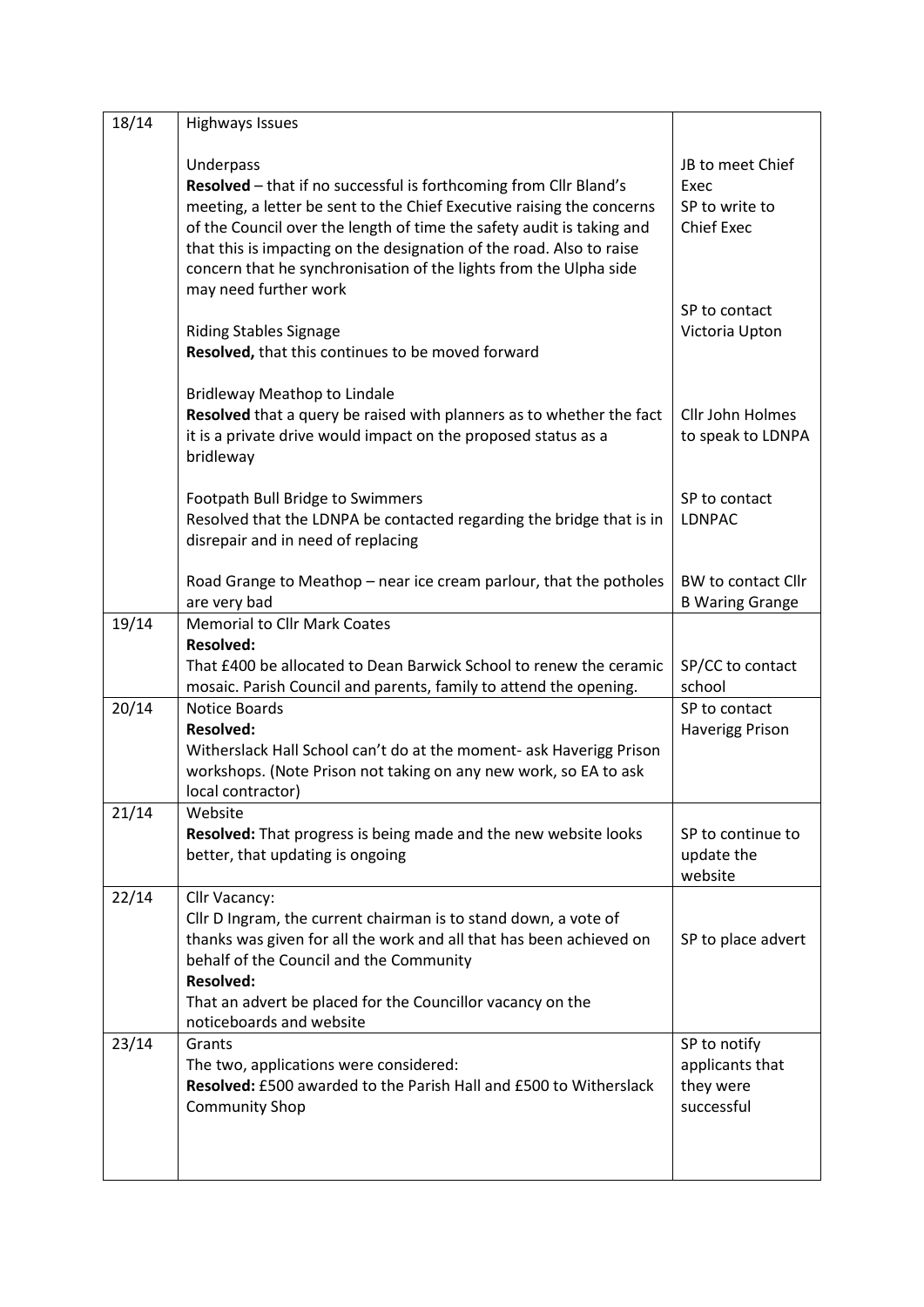| 18/14 | <b>Highways Issues</b>                                                                                                                                                                                                                                                                                                                                                        |                                                                 |
|-------|-------------------------------------------------------------------------------------------------------------------------------------------------------------------------------------------------------------------------------------------------------------------------------------------------------------------------------------------------------------------------------|-----------------------------------------------------------------|
|       | Underpass<br>Resolved - that if no successful is forthcoming from Cllr Bland's<br>meeting, a letter be sent to the Chief Executive raising the concerns<br>of the Council over the length of time the safety audit is taking and<br>that this is impacting on the designation of the road. Also to raise<br>concern that he synchronisation of the lights from the Ulpha side | JB to meet Chief<br>Exec<br>SP to write to<br><b>Chief Exec</b> |
|       | may need further work<br><b>Riding Stables Signage</b><br>Resolved, that this continues to be moved forward                                                                                                                                                                                                                                                                   | SP to contact<br>Victoria Upton                                 |
|       | <b>Bridleway Meathop to Lindale</b><br>Resolved that a query be raised with planners as to whether the fact<br>it is a private drive would impact on the proposed status as a<br>bridleway                                                                                                                                                                                    | Cllr John Holmes<br>to speak to LDNPA                           |
|       | Footpath Bull Bridge to Swimmers<br>Resolved that the LDNPA be contacted regarding the bridge that is in<br>disrepair and in need of replacing                                                                                                                                                                                                                                | SP to contact<br><b>LDNPAC</b>                                  |
|       | Road Grange to Meathop – near ice cream parlour, that the potholes<br>are very bad                                                                                                                                                                                                                                                                                            | BW to contact Cllr<br><b>B Waring Grange</b>                    |
| 19/14 | <b>Memorial to Cllr Mark Coates</b>                                                                                                                                                                                                                                                                                                                                           |                                                                 |
|       | <b>Resolved:</b><br>That £400 be allocated to Dean Barwick School to renew the ceramic<br>mosaic. Parish Council and parents, family to attend the opening.                                                                                                                                                                                                                   | SP/CC to contact<br>school                                      |
| 20/14 | Notice Boards<br><b>Resolved:</b><br>Witherslack Hall School can't do at the moment- ask Haverigg Prison<br>workshops. (Note Prison not taking on any new work, so EA to ask<br>local contractor)                                                                                                                                                                             | SP to contact<br><b>Haverigg Prison</b>                         |
| 21/14 | Website<br>Resolved: That progress is being made and the new website looks<br>better, that updating is ongoing                                                                                                                                                                                                                                                                | SP to continue to<br>update the<br>website                      |
| 22/14 | Cllr Vacancy:<br>Cllr D Ingram, the current chairman is to stand down, a vote of<br>thanks was given for all the work and all that has been achieved on<br>behalf of the Council and the Community<br><b>Resolved:</b><br>That an advert be placed for the Councillor vacancy on the<br>noticeboards and website                                                              | SP to place advert                                              |
| 23/14 | Grants<br>The two, applications were considered:<br>Resolved: £500 awarded to the Parish Hall and £500 to Witherslack<br><b>Community Shop</b>                                                                                                                                                                                                                                | SP to notify<br>applicants that<br>they were<br>successful      |